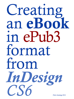# Creating an eBook in ePub3 format from InDesign CSO **Chris Jennings 2012**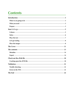# **Contents**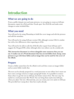## <span id="page-2-0"></span>**Introduction**

### **What we are going to do**

From a public domain text and some pictures, we are going to create an *InDesign* document, export for ePub and then 'break open' the ePub file and make some changes to some included files.

### **What you need**

You will need to be using Photoshop to build the cover image and edit the pictures and add the metadata.

You will need to be using *InDesign* version CS6, although version CS5.5 is similar but with a few differences when exporting to ePub.

You will need to be able to edit the ePub file after export from *InDesign* and I suggest the OxygenXML editor although other text editors can do a similar job.

**This instruction document is written alongside some resources that you can use. It makes use of a Word document that has several fables from Aesop, some pictures to go with those fables and an image that can be used for the cover of the eBook.**

#### **Prepare**

Create a folder somewhere for the eBook work and then create an images folder and an assets folder inside that.

The text can be already prepared in a word processor or text editor, but it must not have extra carriage returns or empty paragraph breaks. It is possible to remove these when we get the text in *InDesign*, but better remove first. The text 'may' be styled in a word processor like Word. You can bring those styles into *InDesign*, when you 'place' the text. Alternatively, you can create your own styles in *InDesign*. The provided text 'aesop.docx' does have styles already.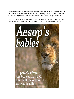The images should be edited and sized to about 600 pixels wide but in 72DPI. The images need to include some metadata. In Photoshop, select 'File Info...' and add the title, description etc. This has already been done for the images provided.

The cover needs to be in portrait orientation at  $1004x768$  pixels although you may need to create different versions and proportions for specific ereader devices..

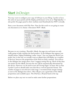## <span id="page-4-0"></span>**Start** *InDesign*

You may want to configure your copy of *InDesign* to your liking. I prefer to have the units set up as pixels and the display performance to be set at 'High Quality'. I also prefer the pages panel to show medium sized thumbnails but NOT vertically.

Start a new document with File>New. Now for this work we are going to create one document so we choose >Document NOT >Book.

|                                        |                    | <b>New Document</b>         |                     |                     |
|----------------------------------------|--------------------|-----------------------------|---------------------|---------------------|
| Document Preset:                       | [Custom]           |                             | ÷                   | <b>OK</b>           |
| Intent:                                | Digital Publishing |                             | ÷                   | Cancel              |
| Number of Pages: 1<br>Start Page No: 1 |                    | <b>Facing Pages</b>         | Primary Text Frame  | Save Preset         |
| Page Size: iPad                        |                    | $\frac{\text{A}}{\text{V}}$ |                     | <b>More Options</b> |
| Width: $-768$ px<br>Height: $-1024$ px |                    | Orientation: @ d            |                     |                     |
| Columns<br>Number: $\div 1$            |                    | Gutter: $\div 12$ px        |                     |                     |
| <b>Margins</b>                         |                    |                             |                     |                     |
| Top: $\div$ 112 px                     |                    |                             | Left: $\div 84$ px  |                     |
| Bottom: $\div 112$ px                  | 圈                  |                             | Right: $\div 84$ px |                     |

Because we are creating a 'flowable' eBook, the page size and intent are only really going to help visualise the final product. In the dialogue that appears you should choose 'Digital Publishing' under 'intent'. You can target the iPad if you prefer, but, in the end, we actually want an eBook that will display on a number of devices, however the proportions of the iPad are fairly common. You will see in the dialogue box image above, how I suggest setting this up. Much of this does not matter for the eBook, because the size will be automatically determined by the device. However, we do need to turn off 'Facing Pages' (at least, this is what I prefer!) and we should make sure that this is vertical (portrait) format. The number of pages is not relevant at this stage. I recommend the margin settings as seen in the dialogue box above. This will give you a good idea of the eBook proportions and available space. The iPad has a 20 pixel band at the top.

Before we place any text we need to make some further preparations: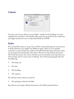### <span id="page-5-0"></span>**Colours**



You may want to use colours in your eBook - maybe for the headings or to give emphasis here and there. You should really create the swatches for the colors that you might need but be sure to make them RGB not CMYK.

### **Styles**

We can build the styles as we go, but it will be worth analyzing your text resource to think about how you might want different styles. There are two possible scenarios; we may already have styles in the MS Word document and those styles can be imported automatically when this is 'Placed' into the *InDesign* document. The Word documents that comes with this excercise includes some styles but you will certainly need to create more in *InDesign*. You will need paragraph styles for the following:

- The body text
- The title
- The headings
- The captions

We will also need a character style for:

The opening words of each fable

Save the (as yet) empty *InDesign* document in the folder prepared above.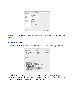<span id="page-6-0"></span>

|                                                                                                                                                                                                                                                                                                                         | Paragraph Style Options                                                                                                                                                                                                                                                                                                     |
|-------------------------------------------------------------------------------------------------------------------------------------------------------------------------------------------------------------------------------------------------------------------------------------------------------------------------|-----------------------------------------------------------------------------------------------------------------------------------------------------------------------------------------------------------------------------------------------------------------------------------------------------------------------------|
| General<br><b>Basic Character Formats</b><br><b>Advanced Character Formats</b><br><b>Indents and Spacing</b>                                                                                                                                                                                                            | Style Name: heading1<br>Location:<br><b>Export Tagging</b>                                                                                                                                                                                                                                                                  |
| Tabs<br>Paragraph Rules<br><b>Keep Options</b><br>Hyphenation<br>lustification<br>Span Columns<br>Drop Caps and Nested Styles<br><b>GREP Style</b><br><b>Bullets and Numbering</b><br><b>Character Colour</b><br>OpenType Features<br><b>Underline Options</b><br><b>Strikethrough Options</b><br><b>Export Tagging</b> | <b>EPUB and HTML-</b><br>÷<br>Tag: h1<br>Class: mainheading<br>Split Document (EPUB only)<br><b>Export Details:</b><br>Tag: h1<br>Class: mainheading<br>font-family : Optima, sans-serif<br>font-weight : bold<br>font-style : normal<br>font-size: 36px<br>text-decoration : none<br>PDF-<br>[Automatic]<br>$\div$<br>Tag: |
| Preview                                                                                                                                                                                                                                                                                                                 | OK<br>Cancel                                                                                                                                                                                                                                                                                                                |

Paragraph and character styles must be exported as specific HTML tags and class names

#### **Place the text**

Now we are ready to place the text from the Word document already prepared



The Place menu item under File will allow you to select the word document but please be sure to have the 'Show Import Options' checked. You should then see a number of choices with regard to the Word document.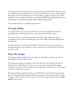<span id="page-7-0"></span>For the purpose of this tutorial we can accept the styles from Word. We can ignore the table of contents and footnotes etc. Once you hit OK, the cursor will change to show that you have loaded the text into the memory ready for placing. Go to the top left of your one page in *InDesign* and with the SHIFT key depressed the cursor will change to show that the pages will be added automatically.

You should now have a couple of pages of text.

### **Let's get styling**

As a general rule, we need a root style for our document and this can be the paragraph style call 'Body' that has come in from the Word document.

Put your text cursor in the title and select the 'title' style. Adjust the style to your liking. Same with the headings for each of the fables and the heading of the introduction.

To style the first few words of each fable (or the first sentence), you need to go through and select each collection in turn and press over the character style that you have made.

#### **Place the images**

The images folder should contain an image for each fable as well as one for the introduction and the eBook cover.

The important thing to remember, is that this process is more about the flow of the document rather than the appearance, so we cannot just place the images anywhere and expect them to appear in the right place within the text. The images need to be 'anchored' correctly.

Starting with the introduction then, go to File>Place and select the image 'aesop. jpg'. You should simply place this (for the moment) on the paste board to the left or right of the document. You can resize it but do so proportionally with the **shiftoption** keys pressed.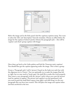| General                             | <b>Style Name: picture</b> |        |                                       |
|-------------------------------------|----------------------------|--------|---------------------------------------|
| <b>Basic Character Formats</b>      | Location:                  |        |                                       |
| <b>Advanced Character Formats</b>   | <b>Indents and Spacing</b> |        |                                       |
| <b>Indents and Spacing</b>          |                            |        |                                       |
| Tabs                                | Alignment:                 | Centre | 繭                                     |
| <b>Paragraph Rules</b>              |                            |        | <b>Balance Ragged Lines</b>           |
| <b>Keep Options</b>                 |                            |        | Ignore Optical Margin                 |
| Hyphenation<br><b>lustification</b> |                            |        |                                       |
| <b>Span Columns</b>                 | Left Indent: $\div 0$ px   |        | First Line Indent: $\frac{1}{2}$ 0 px |
| Drop Caps and Nested Styles         | Right Indent: $\div 0$ px  |        | Last Line Indent: $\div 0$ px         |
| <b>GREP Style</b>                   |                            |        |                                       |
| <b>Bullets and Numbering</b>        | Space Before: $\div 0$ px  |        | Space After: $\div 17$ px             |
| <b>Character Colour</b>             | Align to Grid:             | None   | 漆                                     |
| <b>OpenType Features</b>            |                            |        |                                       |
| <b>Underline Options</b>            |                            |        |                                       |
| <b>Strikethrough Options</b>        |                            |        |                                       |
| <b>Export Tagging</b>               |                            |        |                                       |
|                                     |                            |        |                                       |
|                                     |                            |        |                                       |
|                                     |                            |        |                                       |
|                                     |                            |        |                                       |
|                                     |                            |        |                                       |
|                                     |                            |        |                                       |
|                                     |                            |        |                                       |

Select the image and in the links panel, find the captions>captions setup. You want to select the 'title' and 'description' from the metadata. Choose an offset below the image for the caption of about 6 pixels. Choose the paragraph style -- this will be 'caption' and check 'group caption with Image'.

| <b>Text Before</b>  | <b>Metadata Caption</b> | Metadata                |                          | <b>Text After</b>        |    |
|---------------------|-------------------------|-------------------------|--------------------------|--------------------------|----|
| <b>TECH</b>         |                         | $\pmb{\ast}$<br>Title   | ÷                        |                          | 上帝 |
|                     |                         | <b>Description</b><br>٠ | ÷                        |                          | 上帝 |
|                     | Alignment: Below Image  | $\frac{1}{x}$           | Paragraph Style: caption |                          |    |
| Offset: $\div$ 7 px |                         |                         |                          | Layer: [Same as Image]   |    |
|                     |                         |                         |                          | Group Caption with Image |    |

Once done, go back to the Links palette and find the 'Generate static captions'. You should then get the caption appearing under the image. This is then a group.

Create a 'Paragraph style' (call it 'picture') based on the body text style but with the alignment set to 'Centre'. You can optionally try to make the images float left or right, but we may need to 'break open' the epub file to make this work properly. Now insert a new paragraph (with the 'picture' style) where you want the picture (and its caption) to appear. The picture and caption is on the pasteboard, and you need to grab the small black square (top right), and shift-drag it to the new paragraph that you have just created. This will place the image and caption inline and thus anchored to the text.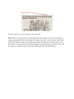

Do the same for as many pictures as you need.

**Note:** There is an alternative method for placing images; instead of creating an empty paragraph before anchoring the image, you can create an object style and anchor the image inside an existing paragraph. Setting up the object style, will then allow you to position the object (image and caption) as you prefer. You will see, that we will then need to edit the CSS inside the ePUB file later.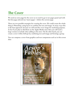# <span id="page-10-0"></span>**The Cover**

We need an extra page for the cover so we need to go to our pages panel and with the first page selected use 'insert pages' > before the current page.

There are two possible strategies for creating the cover. We could create the whole thing in Photoshop, using layers to combine the text and image. In many ways this is the best approach, because we will need the cover image for marketing puposes. In fact if you plan to distribute on the Apple iBooks store then you will need a large version to include when adding to the store. On the other hand, you can create a cover within *InDesign* by combining text and image and forming a group.

You can compose a cover from graphics and text components such as in this screen shot:

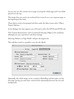As you may see, this consists of an image covering the whole page and 2 text fields placed over the top.

This image does not need to be anchored but it must be on a new separate page, at the beginning of the book.

These objects need to be grouped and then under the object menu select 'Object Export Options...'.

In the dialogue box that appears you will need to select the EPUB and HTML tab.

Tick 'Custom Rasterisation' and I recommend selecting 150ppi as the resolution, although you may experiment with these settings.

Selecting 'Relative to Page Width' will give the largest size.

This will then result in a graphics cover for the eBook.

|          | Tagged PDF<br>Alt Text                                                                                             | <b>EPUB and HTML</b> |                 |    |
|----------|--------------------------------------------------------------------------------------------------------------------|----------------------|-----------------|----|
|          | Custom Rasterisation                                                                                               |                      |                 |    |
| Size:    | Relative to Page Width<br>$\frac{A}{T}$                                                                            | Resolution (ppi):    | 96              | 舟甲 |
| Format:  | $\frac{4}{7}$<br><b>JPEG</b>                                                                                       | Quality:             | Maximum         | ÷  |
| Palette: | ÷<br>Adaptive (no dither)                                                                                          | Method:              | <b>Baseline</b> | ÷  |
|          | Interlace<br>Custom Layout: Alignment And Spacing<br>ESS TO<br>$\equiv$ $\div$ 0<br>Insert Page Break: After Image | ÷<br>pixels<br>۰     |                 |    |

Optionally, the whole image can be created in PhotoShop and then place on this first page, giving you some finer control of the relationship between the text and background.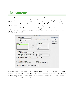### <span id="page-12-0"></span>**The contents**

Often, when we make a document we want to see a table of contents at the beginning. In fact, *InDesign* will help with this, and if we were going to create a PDF we might want to see this 'TOC' on one of the early pages. However, eBook devices like the iPad and eReader software like Adobe Digital editions, have the TOC 'built-in' to the interface, so we won't actually want the table of contents in the document itself. The table of contents, though is created from the information in the document about the headings, so we will use *InDesign*'s ability to create the TOC to help with this.

|                               |                                                              |             |                                     | <b>Table of Contents</b>                  |                           |                      |
|-------------------------------|--------------------------------------------------------------|-------------|-------------------------------------|-------------------------------------------|---------------------------|----------------------|
| <b>TOC Style:</b>             | [Default]                                                    |             |                                     |                                           |                           | OK                   |
|                               | Title: Contents                                              |             | Style:                              | [No Paragraph Style]                      | $\frac{\mathsf{A}}{\Psi}$ | Cancel               |
|                               | Styles in Table of Contents<br>Include Paragraph Styles:     |             |                                     | <b>Other Styles:</b>                      |                           | Save Style           |
| Heading 1<br><b>Heading 2</b> |                                                              | $<<$ Add    |                                     | [No Paragraph Style]<br>caption<br>Normal |                           | <b>Fewer Options</b> |
|                               |                                                              | $Remove$ >> |                                     | [Basic Paragraph]<br>picture              |                           |                      |
| Style: Heading 2              |                                                              |             |                                     |                                           |                           |                      |
|                               | Entry Style: Normal                                          |             | $\frac{1}{T}$                       |                                           |                           |                      |
|                               | Page Number:   No Page Number                                |             | $\frac{\dot{\alpha}}{\dot{\alpha}}$ | Style: [None]                             | $\mathbb{R}$<br>m.        |                      |
|                               | Between Entry and Number: At                                 |             |                                     | Style: [None]                             | x                         |                      |
|                               | Sort Entries in Alphabetical Order                           |             |                                     | Level: $-1$ :                             |                           |                      |
| <b>Options</b>                |                                                              |             |                                     |                                           |                           |                      |
|                               | Create PDF Bookmarks                                         |             |                                     | $Run-in$                                  |                           |                      |
|                               | Replace Existing Table of Contents<br>Include Book Documents |             |                                     | Include Text on Hidden Layers             |                           |                      |
|                               |                                                              |             |                                     |                                           |                           |                      |

If we export the ePub for the ePub3 format then 2 files will be created; one called *toc.xhtml* and one called *toc.ncx*. This latter is for backward compatabilty for devices that can only read the ePub2 format. If we want to convert for the Kindle, we will also need to add a reference to this toc.xhtml document.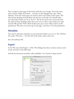<span id="page-13-0"></span>Now navigate to first page of the book (with the cover image). From the menu select Layout>Table of Contents .. and then in that dialogue box open 'More Options'. From the styles pane you need to select each of the 2 main styles. The title and the heading and add them into the box on the left. You should make sure that both of these are set at 'level 1'. We do not need to be concerned with the styles of these headings other than to be sure to select a basic body text style. Just hit OK and the TOC will be loaded onto your cursor. Plop it down on the pasteboard. This does not need to go on the page. Just leave it on the pasteboard.

### **Metadata**

You need to add some metadata to your document before you save it. You will find this under 'File Info....'. Put the title of the book, author and so on.

Save the *InDesign* File

### **Export**

In the File menu find Export > ePub. The dialogue has three sections and you need to pay attention to the following:

Include the document metadata, add a publisher. Use 'based on Page Layout'

| <b>General</b>    | <b>General</b>                                                                                                                                                                                                                           |
|-------------------|------------------------------------------------------------------------------------------------------------------------------------------------------------------------------------------------------------------------------------------|
| Image<br>Advanced | <b>EPUB 3.0</b><br>Version:<br>$\frac{4}{7}$                                                                                                                                                                                             |
|                   | EPUB 3.0 is a standard approved by the IDPF in 2011. This format supports audio,<br>video, JavaScript, Japanese vertical text, and more. NOTE: These new features will not<br>work on software and devices that only support EPUB 2.0.1. |
|                   | Setup                                                                                                                                                                                                                                    |
|                   | <b>Rasterise First Page</b><br>$\frac{1}{T}$<br>Cover:                                                                                                                                                                                   |
|                   | <b>TOC Style:</b><br>fables<br>$\pm 1$<br>Margins: $\stackrel{\text{\tiny{+}}}{=} \stackrel{\text{\tiny{+}}}{\downarrow} 1$<br>$\theta$<br>$\mathbb{I} \cdot \frac{1}{2}$ 1<br>$\overline{7} \div 1$<br>pixels                           |
|                   | Content Order:<br><b>Based on Page Layout</b><br>÷<br><b>Text Options</b>                                                                                                                                                                |
|                   | Place Footnote After Paragraph<br><b>Remove Forced Line Breaks</b>                                                                                                                                                                       |
|                   | <b>Bullets:</b><br><b>Map to Unordered Lists</b><br>÷                                                                                                                                                                                    |
|                   | $\frac{1}{\pi}$<br>Numbers:   Map to Ordered Lists                                                                                                                                                                                       |
|                   | View EPUB after Exporting                                                                                                                                                                                                                |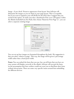Image - if you check 'Preserve appearance from layout' then *InDesign* will dimension the images as you see them in your page layout. This is acceptable, but if you want to optimize your ePUB file for the iPad, then I suggest that you uncheck this option. To make sure that a thumbnail of the cover will appear within the iBooks bookshelf (on the iPad), then choose 'Rasterise First Page' or - you can select a separate existing image.

| <b>EPUB Export Options</b>                                                                                                                                                                                                                                                               |
|------------------------------------------------------------------------------------------------------------------------------------------------------------------------------------------------------------------------------------------------------------------------------------------|
| General                                                                                                                                                                                                                                                                                  |
| <b>EPUB 3.0</b><br>Version:<br>$\frac{4}{7}$<br>EPUB 3.0 is a standard approved by the IDPF in 2011. This format supports audio,<br>video, JavaScript, Japanese vertical text, and more. NOTE: These new features will not<br>work on software and devices that only support EPUB 2.0.1. |
| Setup<br><b>Rasterise First Page</b><br>$\frac{4}{\pi}$<br>Cover:                                                                                                                                                                                                                        |
| <b>TOC Style:</b><br>fables<br>$\frac{1}{\tau}$<br>Margins: $\stackrel{+}{=} \frac{1}{2}$<br>$+1$ $-1$<br>$\theta$<br>$\overline{7}$ $\div$ 1<br>$\mathbb{I} \cdot \div 1$<br>pixels<br>Content Order:<br><b>Based on Page Layout</b><br>÷.                                              |
| <b>Text Options</b><br>Place Footnote After Paragraph<br><b>Remove Forced Line Breaks</b><br><b>Bullets:</b><br>Map to Unordered Lists<br>Numbers:<br><b>Map to Ordered Lists</b><br>÷                                                                                                   |
|                                                                                                                                                                                                                                                                                          |

You can set up how images are formatted throughout the book. My suggestion is that you select 'relative to page'. This way, the image will be given a percentage width rather than a fixed pixel width.

**Fonts:** You can embed the fonts that you use, but, not all fonts that you have on your system will display correctly in the eBook. *InDesign* will encrypt the fonts, on the presumption that font vendors would not want you to distribute their fonts without obvuscation. There are some very specific issues around font embedding for different devices.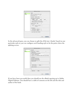| General         | Image                                             |
|-----------------|---------------------------------------------------|
| Image           | Preserve Appearance from Layout                   |
| <b>Advanced</b> |                                                   |
|                 | Resolution (ppi):<br>72<br>÷                      |
|                 | Image Size: Relative to Page<br>÷                 |
|                 |                                                   |
|                 | <b>Image Alignment and Spacing:</b>               |
|                 | pixels                                            |
|                 | Insert Page Break: Before Image                   |
|                 | Settings Apply to Anchored Objects                |
|                 |                                                   |
|                 | <b>Image Conversion: JPEG</b><br>÷                |
|                 | -GIF Options-                                     |
|                 | Palette: Adaptive (no dither)<br>岸                |
|                 | Interlace                                         |
|                 |                                                   |
|                 | JPEG Options                                      |
|                 | $\frac{\Delta}{\Psi}$<br>Image Quality:   Maximum |
|                 | Format Method:   Baseline<br>÷                    |
|                 |                                                   |

In the advanced pane, you can choose to split the ePub into 'chunks' based on one particular style or you can configure each heading style to be the point where the splitting occurs.

| General           | Advanced                                                    |  |  |  |  |
|-------------------|-------------------------------------------------------------|--|--|--|--|
| Image<br>Advanced | <b>Split Document:</b><br><b>Heading 2</b><br>$\frac{A}{T}$ |  |  |  |  |
|                   | - EPUB Metadata<br>Include Document Metadata                |  |  |  |  |
|                   | Publisher: PagetoScreen                                     |  |  |  |  |
|                   | Unique ID: urn:uuid:FEF7F466-AA60-4975-8C7E-85972E          |  |  |  |  |
|                   | <b>CSS Options</b>                                          |  |  |  |  |
|                   | Include Style Definitions                                   |  |  |  |  |
|                   | Preserve Local Overrides                                    |  |  |  |  |
|                   | Include Embeddable Fonts<br><b>Additional CSS:</b>          |  |  |  |  |
|                   | <b>Delete</b><br>Add Style Sheet                            |  |  |  |  |
|                   | JavaScript Options                                          |  |  |  |  |
|                   | Add Script<br><b>Delete</b>                                 |  |  |  |  |
|                   |                                                             |  |  |  |  |

If you have been successful then you should see the eBook opening up in Adobe Digital Editions. You should have a table of contents on the left and the title and author of the book.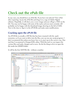## **Check out the ePub file**

In any case, you should have an ePub file. If you have not selected 'View ePub after exporting', locate the ePub file and drag it to a copy of Adobe Digital editions. Hopefully, it will show you a cover image and you will get a TOC on the left. You may not be happy with some of the styles and you most certainly will probably not be happy with the thumbnail image showing on the left of ADE. Now is the time to 'dig in' to the ePUB file and make some modifications.

### **Cracking open the ePUB file**

An ePUB file is actually a ZIP file that has been renamed with the .epub extension, so if you want to delve into the files, you can use any unzip program. I don't recommend this unless you know how to re-zip it up in the correct way. One tool that I recommend is OxygenXML editor. With this tool we can inspect the various files and make changes and re-save. So the fist thing to do is to open the file inside the OEBPS folder.

It will be the first XHTML file - without a number.

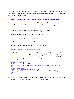<span id="page-17-0"></span>This will be the file that generates the cover. Select this and then where you see the opening tag <img change the first part of the tag attribute like this, but keeping the source image as your own:

<img **style="height:100%;"** src="images/lioncover\_opt.jpeg" alt="Aesops Fables"/>

Please note that you are nly adding the bold text above. Your code for the source image will be different. The syntax is very strict. Do not miss out spaces or semicolons!

This will make sure that the cover will be as large as possible.

You can also change the body tag to the following:

<body style="margin:0; padding: 0; border-width: 0">

This will remove the border from the thumbnail.

You will also need to add a style in the 'head; of that file:

<style type="text/css">@page {margin:0;}</style>

The style information is held in the CSS file template.css. In here you can change the styles for various aspects of the book including the the picture and the caption to make them appear centre aligned. You will need to investigate the HTML markup on a page with an image. It may look a bit like this:

```
<div class="pictureblock">
<div class="pictureblock frame-2">
<img class="frame-5" src="image/foxandthegrapes.png" alt="thefoxandthegrapes.jpg" />
\langlediv\rangle<div class="pictureblock">
<p class="caption">The Fox and the Grapes</p>
<p class="caption">Phryx Aesopus Habitu Poetico, by Hieronymus Osius, 1574</p>
\langlediv\rangle\langlediv\rangle
```
InDesign does tend to make this more complex than needed and we can edit some of the HTML markup or adapt our CSS to accommodate.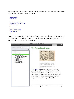By styling the 'pictureblock' class to have a percentage width, we can contain the caption and provide a border like this:



**Note:** I have simplified the HTML markup by removing the parent 'pictureblock' div. Also note, that Adobe Digital editions does not support margin:auto, thus, I am using the 25% value for left and right;

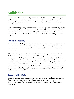# **Validation**

ePub eBooks should be correctly formed with all of the required files and syntax within the various XML components. If the ePUB is not valid then it won't display properly, if at all. Also, distributors such as the Apple iBooks store will reject invalid ePUB files.

There are a variety of ways to validate the ePUB file; you will get warnings within the OxygenXML editor, if you have used that to edit the file. You can also use some free open source applications. My preference is to use the online resource hosted by the IDPF (International Digital Publishers Forum) at http://validator. idpf.org/.

### **Trouble-shooting**

If you have used *InDesign* to create the ePUB file and have not made any changes to it with an editor such as Oxygen, then you shouldn't have any serious problems, however, you may get warnings about spaces in the file names and this needs explaining.

When you save your *InDesign* document and subsequently export to ePUB, the XHTML files that are created to represent the chapters in the book will be named the same as the *InDesign* filename but with an added number. If your *InDesign* file name has spaces; for example - *the merry men version 3.indd* then the HTML files will have spaces in their file names (eg.*the merry men version 3-1.xhtml*). The hyperlinks to these files from the TOC and each other, will need to resolve these spaces by using the character entity %20. The links will work, but it is not good practice to use such methods. The same issue exists for the images. These should be saved without spaces in their file names.

### **Errors in the TOC**

Some errors may occur if you have not correctly formed your heading hierarchy. Be sure to make heading level 3 follow 2 which should follow heading level 1. If you jump a level, then errors will occur. Also, be careful not to have empty headings.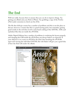# <span id="page-20-0"></span>**The End**

Well not really, because there is masses that you can do to improve things. Try getting you eBook onto you iPad or iPhone. Try grabbing a copy of the Firefox ePub reader extension to check out the ePub.

The file that *InDesign* creates has a number of problems and this is not the place to discuss, however, it seems that this is a good starting point, but remember, getting good results in the end does involve some hand crafting of the XHTML, XML and stylesheet files that are inside the ePUB file.

Adobe Digital Editions has a number of problems in rendering the layout properly, and changing the CSS inside the ePUB does not always behave as expected. If your objective is to create an ePUB for the iPad, then breaking the ePUB file apart and viewing the individual XHTML file with Safari will give you a good idea of how the iPad will render the eBook.